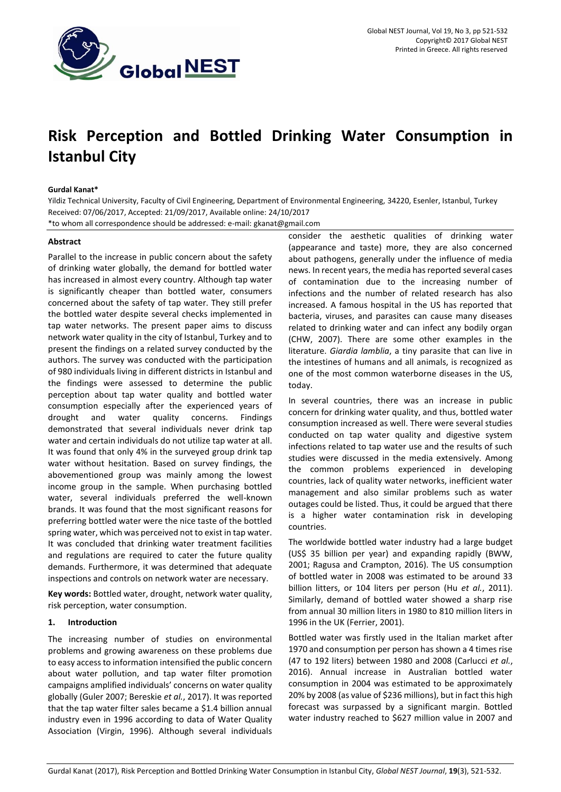

# **Risk Perception and Bottled Drinking Water Consumption in Istanbul City**

# **Gurdal Kanat\***

Yildiz Technical University, Faculty of Civil Engineering, Department of Environmental Engineering, 34220, Esenler, Istanbul, Turkey Received: 07/06/2017, Accepted: 21/09/2017, Available online: 24/10/2017 \*to whom all correspondence should be addressed: e-mail: gkanat@gmail.com

# **Abstract**

Parallel to the increase in public concern about the safety of drinking water globally, the demand for bottled water has increased in almost every country. Although tap water is significantly cheaper than bottled water, consumers concerned about the safety of tap water. They still prefer the bottled water despite several checks implemented in tap water networks. The present paper aims to discuss network water quality in the city of Istanbul, Turkey and to present the findings on a related survey conducted by the authors. The survey was conducted with the participation of 980 individuals living in different districts in Istanbul and the findings were assessed to determine the public perception about tap water quality and bottled water consumption especially after the experienced years of drought and water quality concerns. Findings demonstrated that several individuals never drink tap water and certain individuals do not utilize tap water at all. It was found that only 4% in the surveyed group drink tap water without hesitation. Based on survey findings, the abovementioned group was mainly among the lowest income group in the sample. When purchasing bottled water, several individuals preferred the well-known brands. It was found that the most significant reasons for preferring bottled water were the nice taste of the bottled spring water, which was perceived not to exist in tap water. It was concluded that drinking water treatment facilities and regulations are required to cater the future quality demands. Furthermore, it was determined that adequate inspections and controls on network water are necessary.

**Key words:** Bottled water, drought, network water quality, risk perception, water consumption.

## **1. Introduction**

The increasing number of studies on environmental problems and growing awareness on these problems due to easy access to information intensified the public concern about water pollution, and tap water filter promotion campaigns amplified individuals' concerns on water quality globally (Guler 2007; Bereskie *et al.*, 2017). It was reported that the tap water filter sales became a \$1.4 billion annual industry even in 1996 according to data of Water Quality Association (Virgin, 1996). Although several individuals

consider the aesthetic qualities of drinking water (appearance and taste) more, they are also concerned about pathogens, generally under the influence of media news. In recent years, the media has reported several cases of contamination due to the increasing number of infections and the number of related research has also increased. A famous hospital in the US has reported that bacteria, viruses, and parasites can cause many diseases related to drinking water and can infect any bodily organ (CHW, 2007). There are some other examples in the literature. *Giardia lamblia*, a tiny parasite that can live in the intestines of humans and all animals, is recognized as one of the most common waterborne diseases in the US, today.

In several countries, there was an increase in public concern for drinking water quality, and thus, bottled water consumption increased as well. There were several studies conducted on tap water quality and digestive system infections related to tap water use and the results of such studies were discussed in the media extensively. Among the common problems experienced in developing countries, lack of quality water networks, inefficient water management and also similar problems such as water outages could be listed. Thus, it could be argued that there is a higher water contamination risk in developing countries.

The worldwide bottled water industry had a large budget (US\$ 35 billion per year) and expanding rapidly (BWW, 2001; Ragusa and Crampton, 2016). The US consumption of bottled water in 2008 was estimated to be around 33 billion litters, or 104 liters per person (Hu *et al.*, 2011). Similarly, demand of bottled water showed a sharp rise from annual 30 million liters in 1980 to 810 million liters in 1996 in the UK (Ferrier, 2001).

Bottled water was firstly used in the Italian market after 1970 and consumption per person has shown a 4 times rise (47 to 192 liters) between 1980 and 2008 (Carlucci *et al.*, 2016). Annual increase in Australian bottled water consumption in 2004 was estimated to be approximately 20% by 2008 (as value of \$236 millions), but in fact this high forecast was surpassed by a significant margin. Bottled water industry reached to \$627 million value in 2007 and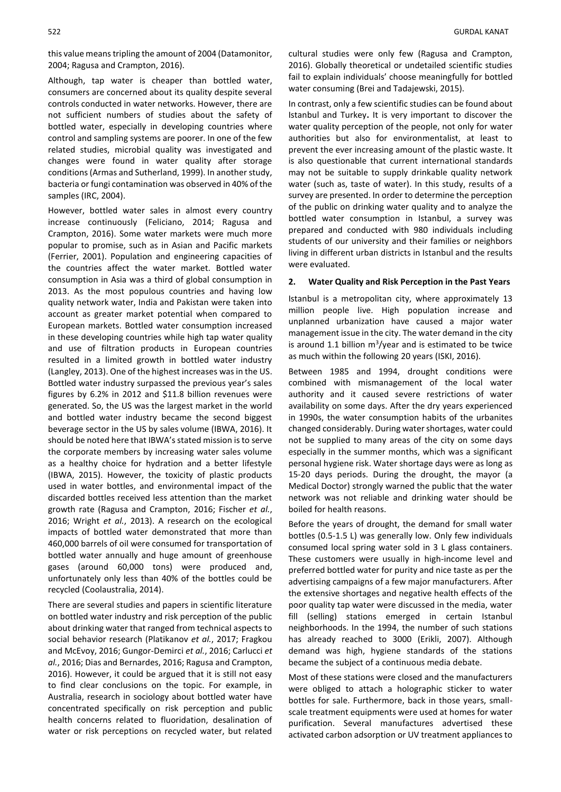this value means tripling the amount of 2004 (Datamonitor, 2004; Ragusa and Crampton, 2016).

Although, tap water is cheaper than bottled water, consumers are concerned about its quality despite several controls conducted in water networks. However, there are not sufficient numbers of studies about the safety of bottled water, especially in developing countries where control and sampling systems are poorer. In one of the few related studies, microbial quality was investigated and changes were found in water quality after storage conditions (Armas and Sutherland, 1999). In another study, bacteria or fungi contamination was observed in 40% of the samples (IRC, 2004).

However, bottled water sales in almost every country increase continuously (Feliciano, 2014; Ragusa and Crampton, 2016). Some water markets were much more popular to promise, such as in Asian and Pacific markets (Ferrier, 2001). Population and engineering capacities of the countries affect the water market. Bottled water consumption in Asia was a third of global consumption in 2013. As the most populous countries and having low quality network water, India and Pakistan were taken into account as greater market potential when compared to European markets. Bottled water consumption increased in these developing countries while high tap water quality and use of filtration products in European countries resulted in a limited growth in bottled water industry (Langley, 2013). One of the highest increases was in the US. Bottled water industry surpassed the previous year's sales figures by 6.2% in 2012 and \$11.8 billion revenues were generated. So, the US was the largest market in the world and bottled water industry became the second biggest beverage sector in the US by sales volume (IBWA, 2016). It should be noted here that IBWA's stated mission is to serve the corporate members by increasing water sales volume as a healthy choice for hydration and a better lifestyle (IBWA, 2015). However, the toxicity of plastic products used in water bottles, and environmental impact of the discarded bottles received less attention than the market growth rate (Ragusa and Crampton, 2016; Fischer *et al.*, 2016; Wright *et al.*, 2013). A research on the ecological impacts of bottled water demonstrated that more than 460,000 barrels of oil were consumed for transportation of bottled water annually and huge amount of greenhouse gases (around 60,000 tons) were produced and, unfortunately only less than 40% of the bottles could be recycled (Coolaustralia, 2014).

There are several studies and papers in scientific literature on bottled water industry and risk perception of the public about drinking water that ranged from technical aspects to social behavior research (Platikanov *et al.*, 2017; Fragkou and McEvoy, 2016; Gungor-Demirci *et al.*, 2016; Carlucci *et al.*, 2016; Dias and Bernardes, 2016; Ragusa and Crampton, 2016). However, it could be argued that it is still not easy to find clear conclusions on the topic. For example, in Australia, research in sociology about bottled water have concentrated specifically on risk perception and public health concerns related to fluoridation, desalination of water or risk perceptions on recycled water, but related

cultural studies were only few (Ragusa and Crampton, 2016). Globally theoretical or undetailed scientific studies fail to explain individuals' choose meaningfully for bottled water consuming (Brei and Tadajewski, 2015).

In contrast, only a few scientific studies can be found about Istanbul and Turkey**.** It is very important to discover the water quality perception of the people, not only for water authorities but also for environmentalist, at least to prevent the ever increasing amount of the plastic waste. It is also questionable that current international standards may not be suitable to supply drinkable quality network water (such as, taste of water). In this study, results of a survey are presented. In order to determine the perception of the public on drinking water quality and to analyze the bottled water consumption in Istanbul, a survey was prepared and conducted with 980 individuals including students of our university and their families or neighbors living in different urban districts in Istanbul and the results were evaluated.

#### **2. Water Quality and Risk Perception in the Past Years**

Istanbul is a metropolitan city, where approximately 13 million people live. High population increase and unplanned urbanization have caused a major water management issue in the city. The water demand in the city is around 1.1 billion  $m^3$ /year and is estimated to be twice as much within the following 20 years (ISKI, 2016).

Between 1985 and 1994, drought conditions were combined with mismanagement of the local water authority and it caused severe restrictions of water availability on some days. After the dry years experienced in 1990s, the water consumption habits of the urbanites changed considerably. During water shortages, water could not be supplied to many areas of the city on some days especially in the summer months, which was a significant personal hygiene risk. Water shortage days were as long as 15-20 days periods. During the drought, the mayor (a Medical Doctor) strongly warned the public that the water network was not reliable and drinking water should be boiled for health reasons.

Before the years of drought, the demand for small water bottles (0.5-1.5 L) was generally low. Only few individuals consumed local spring water sold in 3 L glass containers. These customers were usually in high-income level and preferred bottled water for purity and nice taste as per the advertising campaigns of a few major manufacturers. After the extensive shortages and negative health effects of the poor quality tap water were discussed in the media, water fill (selling) stations emerged in certain Istanbul neighborhoods. In the 1994, the number of such stations has already reached to 3000 (Erikli, 2007). Although demand was high, hygiene standards of the stations became the subject of a continuous media debate.

Most of these stations were closed and the manufacturers were obliged to attach a holographic sticker to water bottles for sale. Furthermore, back in those years, smallscale treatment equipments were used at homes for water purification. Several manufactures advertised these activated carbon adsorption or UV treatment appliances to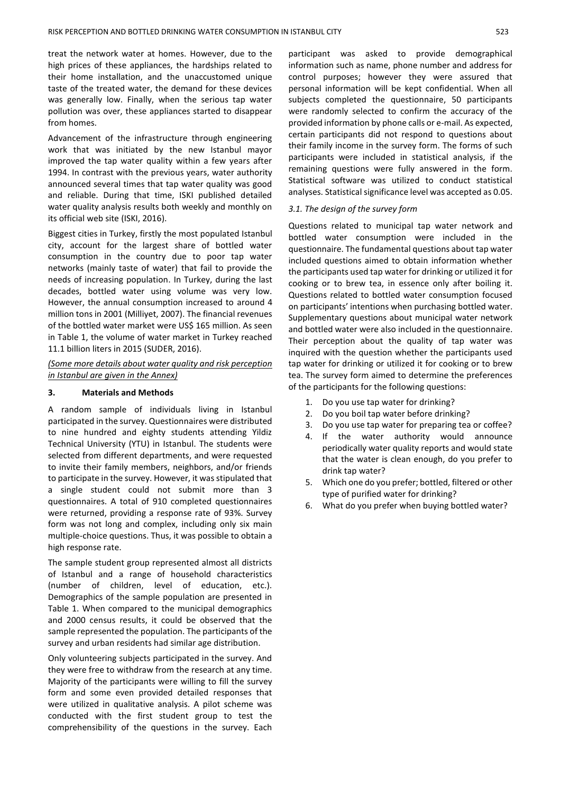treat the network water at homes. However, due to the high prices of these appliances, the hardships related to their home installation, and the unaccustomed unique taste of the treated water, the demand for these devices was generally low. Finally, when the serious tap water pollution was over, these appliances started to disappear from homes.

Advancement of the infrastructure through engineering work that was initiated by the new Istanbul mayor improved the tap water quality within a few years after 1994. In contrast with the previous years, water authority announced several times that tap water quality was good and reliable. During that time, ISKI published detailed water quality analysis results both weekly and monthly on its official web site (ISKI, 2016).

Biggest cities in Turkey, firstly the most populated Istanbul city, account for the largest share of bottled water consumption in the country due to poor tap water networks (mainly taste of water) that fail to provide the needs of increasing population. In Turkey, during the last decades, bottled water using volume was very low. However, the annual consumption increased to around 4 million tons in 2001 (Milliyet, 2007). The financial revenues of the bottled water market were US\$ 165 million. As seen in Table 1, the volume of water market in Turkey reached 11.1 billion liters in 2015 (SUDER, 2016).

*(Some more details about water quality and risk perception in Istanbul are given in the Annex)*

#### **3. Materials and Methods**

A random sample of individuals living in Istanbul participated in the survey. Questionnaires were distributed to nine hundred and eighty students attending Yildiz Technical University (YTU) in Istanbul. The students were selected from different departments, and were requested to invite their family members, neighbors, and/or friends to participate in the survey. However, it was stipulated that a single student could not submit more than 3 questionnaires. A total of 910 completed questionnaires were returned, providing a response rate of 93%. Survey form was not long and complex, including only six main multiple-choice questions. Thus, it was possible to obtain a high response rate.

The sample student group represented almost all districts of Istanbul and a range of household characteristics (number of children, level of education, etc.). Demographics of the sample population are presented in Table 1. When compared to the municipal demographics and 2000 census results, it could be observed that the sample represented the population. The participants of the survey and urban residents had similar age distribution.

Only volunteering subjects participated in the survey. And they were free to withdraw from the research at any time. Majority of the participants were willing to fill the survey form and some even provided detailed responses that were utilized in qualitative analysis. A pilot scheme was conducted with the first student group to test the comprehensibility of the questions in the survey. Each

participant was asked to provide demographical information such as name, phone number and address for control purposes; however they were assured that personal information will be kept confidential. When all subjects completed the questionnaire, 50 participants were randomly selected to confirm the accuracy of the provided information by phone calls or e-mail. As expected, certain participants did not respond to questions about their family income in the survey form. The forms of such participants were included in statistical analysis, if the remaining questions were fully answered in the form. Statistical software was utilized to conduct statistical analyses. Statistical significance level was accepted as 0.05.

#### *3.1. The design of the survey form*

Questions related to municipal tap water network and bottled water consumption were included in the questionnaire. The fundamental questions about tap water included questions aimed to obtain information whether the participants used tap water for drinking or utilized it for cooking or to brew tea, in essence only after boiling it. Questions related to bottled water consumption focused on participants' intentions when purchasing bottled water. Supplementary questions about municipal water network and bottled water were also included in the questionnaire. Their perception about the quality of tap water was inquired with the question whether the participants used tap water for drinking or utilized it for cooking or to brew tea. The survey form aimed to determine the preferences of the participants for the following questions:

- 1. Do you use tap water for drinking?
- 2. Do you boil tap water before drinking?
- 3. Do you use tap water for preparing tea or coffee?
- 4. If the water authority would announce periodically water quality reports and would state that the water is clean enough, do you prefer to drink tap water?
- 5. Which one do you prefer; bottled, filtered or other type of purified water for drinking?
- 6. What do you prefer when buying bottled water?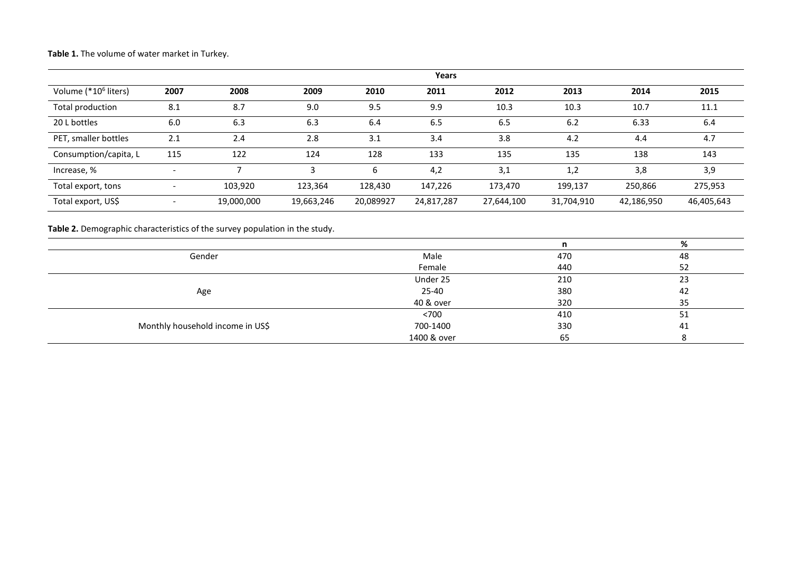**Table 1.** The volume of water market in Turkey.

|                                  |                          |            |            |           | Years      |            |            |            |            |
|----------------------------------|--------------------------|------------|------------|-----------|------------|------------|------------|------------|------------|
| Volume (*10 <sup>6</sup> liters) | 2007                     | 2008       | 2009       | 2010      | 2011       | 2012       | 2013       | 2014       | 2015       |
| Total production                 | 8.1                      | 8.7        | 9.0        | 9.5       | 9.9        | 10.3       | 10.3       | 10.7       | 11.1       |
| 20 L bottles                     | 6.0                      | 6.3        | 6.3        | 6.4       | 6.5        | 6.5        | 6.2        | 6.33       | 6.4        |
| PET, smaller bottles             | 2.1                      | 2.4        | 2.8        | 3.1       | 3.4        | 3.8        | 4.2        | 4.4        | 4.7        |
| Consumption/capita, L            | 115                      | 122        | 124        | 128       | 133        | 135        | 135        | 138        | 143        |
| Increase, %                      | $\overline{\phantom{0}}$ |            | 3          | 6         | 4,2        | 3,1        | 1,2        | 3,8        | 3,9        |
| Total export, tons               |                          | 103,920    | 123,364    | 128,430   | 147,226    | 173,470    | 199,137    | 250,866    | 275,953    |
| Total export, US\$               |                          | 19,000,000 | 19,663,246 | 20,089927 | 24,817,287 | 27,644,100 | 31,704,910 | 42,186,950 | 46,405,643 |

**Table 2.** Demographic characteristics of the survey population in the study.

|                                  |             | n   |    |
|----------------------------------|-------------|-----|----|
| Gender                           | Male        | 470 | 48 |
|                                  | Female      | 440 | 52 |
|                                  | Under 25    | 210 | 23 |
| Age                              | 25-40       | 380 | 42 |
|                                  | 40 & over   | 320 | 35 |
|                                  | < 700       | 410 | 51 |
| Monthly household income in US\$ | 700-1400    | 330 | 41 |
|                                  | 1400 & over | 65  |    |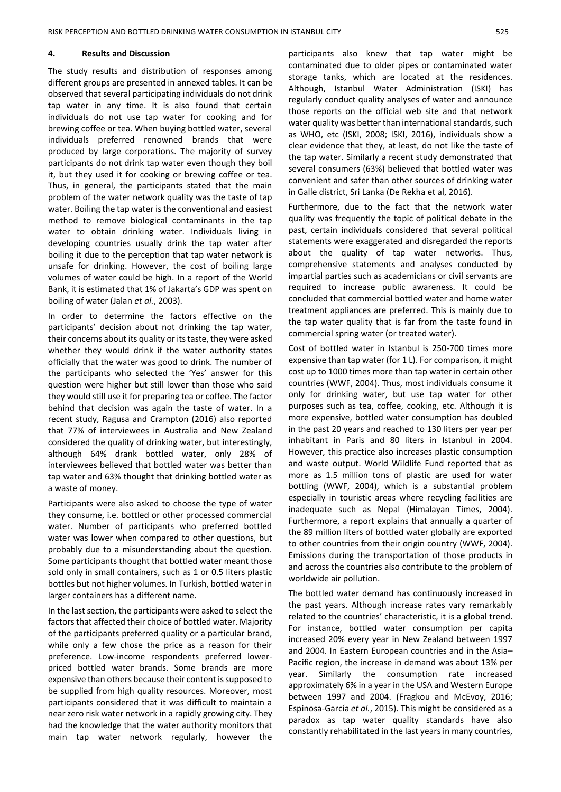#### **4. Results and Discussion**

The study results and distribution of responses among different groups are presented in annexed tables. It can be observed that several participating individuals do not drink tap water in any time. It is also found that certain individuals do not use tap water for cooking and for brewing coffee or tea. When buying bottled water, several individuals preferred renowned brands that were produced by large corporations. The majority of survey participants do not drink tap water even though they boil it, but they used it for cooking or brewing coffee or tea. Thus, in general, the participants stated that the main problem of the water network quality was the taste of tap water. Boiling the tap water is the conventional and easiest method to remove biological contaminants in the tap water to obtain drinking water. Individuals living in developing countries usually drink the tap water after boiling it due to the perception that tap water network is unsafe for drinking. However, the cost of boiling large volumes of water could be high. In a report of the World Bank, it is estimated that 1% of Jakarta's GDP was spent on boiling of water (Jalan *et al.*, 2003).

In order to determine the factors effective on the participants' decision about not drinking the tap water, their concerns about its quality or its taste, they were asked whether they would drink if the water authority states officially that the water was good to drink. The number of the participants who selected the 'Yes' answer for this question were higher but still lower than those who said they would still use it for preparing tea or coffee. The factor behind that decision was again the taste of water. In a recent study, Ragusa and Crampton (2016) also reported that 77% of interviewees in Australia and New Zealand considered the quality of drinking water, but interestingly, although 64% drank bottled water, only 28% of interviewees believed that bottled water was better than tap water and 63% thought that drinking bottled water as a waste of money.

Participants were also asked to choose the type of water they consume, i.e. bottled or other processed commercial water. Number of participants who preferred bottled water was lower when compared to other questions, but probably due to a misunderstanding about the question. Some participants thought that bottled water meant those sold only in small containers, such as 1 or 0.5 liters plastic bottles but not higher volumes. In Turkish, bottled water in larger containers has a different name.

In the last section, the participants were asked to select the factors that affected their choice of bottled water. Majority of the participants preferred quality or a particular brand, while only a few chose the price as a reason for their preference. Low-income respondents preferred lowerpriced bottled water brands. Some brands are more expensive than others because their content is supposed to be supplied from high quality resources. Moreover, most participants considered that it was difficult to maintain a near zero risk water network in a rapidly growing city. They had the knowledge that the water authority monitors that main tap water network regularly, however the

participants also knew that tap water might be contaminated due to older pipes or contaminated water storage tanks, which are located at the residences. Although, Istanbul Water Administration (ISKI) has regularly conduct quality analyses of water and announce those reports on the official web site and that network water quality was better than international standards, such as WHO, etc (ISKI, 2008; ISKI, 2016), individuals show a clear evidence that they, at least, do not like the taste of the tap water. Similarly a recent study demonstrated that several consumers (63%) believed that bottled water was convenient and safer than other sources of drinking water in Galle district, Sri Lanka (De Rekha et al, 2016).

Furthermore, due to the fact that the network water quality was frequently the topic of political debate in the past, certain individuals considered that several political statements were exaggerated and disregarded the reports about the quality of tap water networks. Thus, comprehensive statements and analyses conducted by impartial parties such as academicians or civil servants are required to increase public awareness. It could be concluded that commercial bottled water and home water treatment appliances are preferred. This is mainly due to the tap water quality that is far from the taste found in commercial spring water (or treated water).

Cost of bottled water in Istanbul is 250-700 times more expensive than tap water (for 1 L). For comparison, it might cost up to 1000 times more than tap water in certain other countries (WWF, 2004). Thus, most individuals consume it only for drinking water, but use tap water for other purposes such as tea, coffee, cooking, etc. Although it is more expensive, bottled water consumption has doubled in the past 20 years and reached to 130 liters per year per inhabitant in Paris and 80 liters in Istanbul in 2004. However, this practice also increases plastic consumption and waste output. World Wildlife Fund reported that as more as 1.5 million tons of plastic are used for water bottling (WWF, 2004), which is a substantial problem especially in touristic areas where recycling facilities are inadequate such as Nepal (Himalayan Times, 2004). Furthermore, a report explains that annually a quarter of the 89 million liters of bottled water globally are exported to other countries from their origin country (WWF, 2004). Emissions during the transportation of those products in and across the countries also contribute to the problem of worldwide air pollution.

The bottled water demand has continuously increased in the past years. Although increase rates vary remarkably related to the countries' characteristic, it is a global trend. For instance, bottled water consumption per capita increased 20% every year in New Zealand between 1997 and 2004. In Eastern European countries and in the Asia– Pacific region, the increase in demand was about 13% per year. Similarly the consumption rate increased approximately 6% in a year in the USA and Western Europe between 1997 and 2004. (Fragkou and McEvoy, 2016; Espinosa-García *et al.*, 2015). This might be considered as a paradox as tap water quality standards have also constantly rehabilitated in the last years in many countries,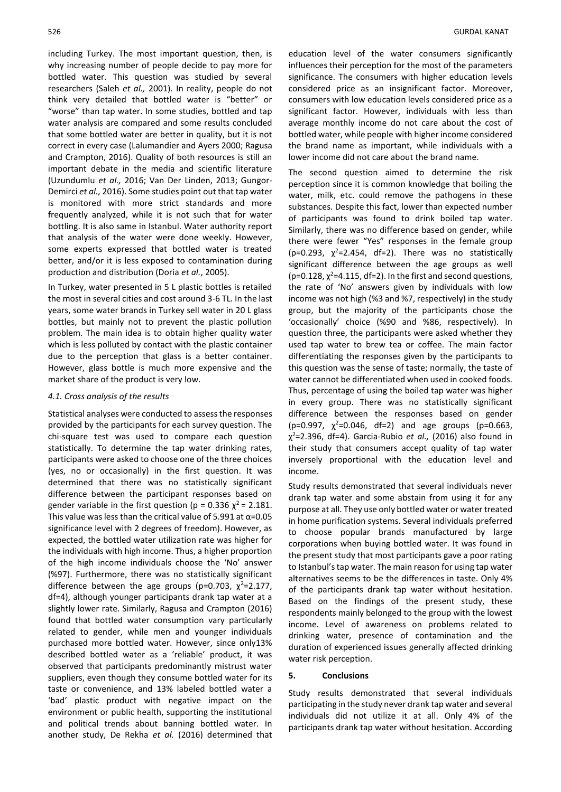including Turkey. The most important question, then, is why increasing number of people decide to pay more for bottled water. This question was studied by several researchers (Saleh *et al.,* 2001). In reality, people do not think very detailed that bottled water is "better" or "worse" than tap water. In some studies, bottled and tap water analysis are compared and some results concluded that some bottled water are better in quality, but it is not correct in every case (Lalumandier and Ayers 2000; Ragusa and Crampton, 2016). Quality of both resources is still an important debate in the media and scientific literature (Uzundumlu *et al.,* 2016; Van Der Linden, 2013; Gungor-Demirci *et al.,* 2016). Some studies point out that tap water is monitored with more strict standards and more frequently analyzed, while it is not such that for water bottling. It is also same in Istanbul. Water authority report that analysis of the water were done weekly. However, some experts expressed that bottled water is treated better, and/or it is less exposed to contamination during production and distribution (Doria *et al.*, 2005).

In Turkey, water presented in 5 L plastic bottles is retailed the most in several cities and cost around 3-6 TL. In the last years, some water brands in Turkey sell water in 20 L glass bottles, but mainly not to prevent the plastic pollution problem. The main idea is to obtain higher quality water which is less polluted by contact with the plastic container due to the perception that glass is a better container. However, glass bottle is much more expensive and the market share of the product is very low.

## *4.1. Cross analysis of the results*

Statistical analyses were conducted to assess the responses provided by the participants for each survey question. The chi-square test was used to compare each question statistically. To determine the tap water drinking rates, participants were asked to choose one of the three choices (yes, no or occasionally) in the first question. It was determined that there was no statistically significant difference between the participant responses based on gender variable in the first question (p = 0.336  $\chi^2$  = 2.181. This value was less than the critical value of 5.991 at  $\alpha$ =0.05 significance level with 2 degrees of freedom). However, as expected, the bottled water utilization rate was higher for the individuals with high income. Thus, a higher proportion of the high income individuals choose the 'No' answer (%97). Furthermore, there was no statistically significant difference between the age groups (p=0.703,  $\chi^2$ =2.177, df=4), although younger participants drank tap water at a slightly lower rate. Similarly, Ragusa and Crampton (2016) found that bottled water consumption vary particularly related to gender, while men and younger individuals purchased more bottled water. However, since only13% described bottled water as a 'reliable' product, it was observed that participants predominantly mistrust water suppliers, even though they consume bottled water for its taste or convenience, and 13% labeled bottled water a 'bad' plastic product with negative impact on the environment or public health, supporting the institutional and political trends about banning bottled water. In another study, De Rekha *et al.* (2016) determined that education level of the water consumers significantly influences their perception for the most of the parameters significance. The consumers with higher education levels considered price as an insignificant factor. Moreover, consumers with low education levels considered price as a significant factor. However, individuals with less than average monthly income do not care about the cost of bottled water, while people with higher income considered the brand name as important, while individuals with a lower income did not care about the brand name.

The second question aimed to determine the risk perception since it is common knowledge that boiling the water, milk, etc. could remove the pathogens in these substances. Despite this fact, lower than expected number of participants was found to drink boiled tap water. Similarly, there was no difference based on gender, while there were fewer "Yes" responses in the female group (p=0.293,  $\chi^2$ =2.454, df=2). There was no statistically significant difference between the age groups as well (p=0.128,  $\chi^2$ =4.115, df=2). In the first and second questions, the rate of 'No' answers given by individuals with low income was not high (%3 and %7, respectively) in the study group, but the majority of the participants chose the 'occasionally' choice (%90 and %86, respectively). In question three, the participants were asked whether they used tap water to brew tea or coffee. The main factor differentiating the responses given by the participants to this question was the sense of taste; normally, the taste of water cannot be differentiated when used in cooked foods. Thus, percentage of using the boiled tap water was higher in every group. There was no statistically significant difference between the responses based on gender (p=0.997,  $\chi^2$ =0.046, df=2) and age groups (p=0.663, χ <sup>2</sup>=2.396, df=4). Garcia-Rubio *et al.,* (2016) also found in their study that consumers accept quality of tap water inversely proportional with the education level and income.

Study results demonstrated that several individuals never drank tap water and some abstain from using it for any purpose at all. They use only bottled water or water treated in home purification systems. Several individuals preferred to choose popular brands manufactured by large corporations when buying bottled water. It was found in the present study that most participants gave a poor rating to Istanbul's tap water. The main reason for using tap water alternatives seems to be the differences in taste. Only 4% of the participants drank tap water without hesitation. Based on the findings of the present study, these respondents mainly belonged to the group with the lowest income. Level of awareness on problems related to drinking water, presence of contamination and the duration of experienced issues generally affected drinking water risk perception.

# **5. Conclusions**

Study results demonstrated that several individuals participating in the study never drank tap water and several individuals did not utilize it at all. Only 4% of the participants drank tap water without hesitation. According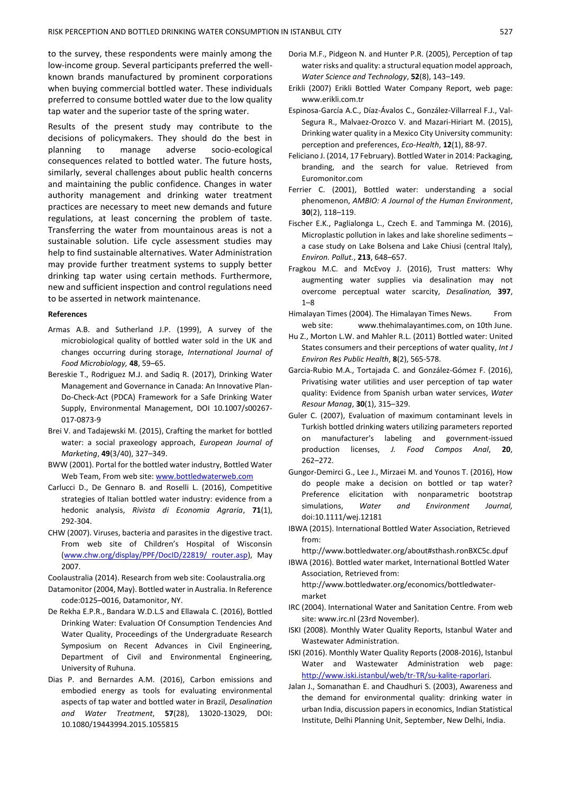to the survey, these respondents were mainly among the low-income group. Several participants preferred the wellknown brands manufactured by prominent corporations when buying commercial bottled water. These individuals preferred to consume bottled water due to the low quality tap water and the superior taste of the spring water.

Results of the present study may contribute to the decisions of policymakers. They should do the best in planning to manage adverse socio-ecological consequences related to bottled water. The future hosts, similarly, several challenges about public health concerns and maintaining the public confidence. Changes in water authority management and drinking water treatment practices are necessary to meet new demands and future regulations, at least concerning the problem of taste. Transferring the water from mountainous areas is not a sustainable solution. Life cycle assessment studies may help to find sustainable alternatives. Water Administration may provide further treatment systems to supply better drinking tap water using certain methods. Furthermore, new and sufficient inspection and control regulations need to be asserted in network maintenance.

# **References**

- Armas A.B. and Sutherland J.P. (1999), A survey of the microbiological quality of bottled water sold in the UK and changes occurring during storage, *International Journal of Food Microbiology,* **48**, 59–65.
- Bereskie T., Rodriguez M.J. and Sadiq R. (2017), Drinking Water Management and Governance in Canada: An Innovative Plan-Do-Check-Act (PDCA) Framework for a Safe Drinking Water Supply, Environmental Management, DOI 10.1007/s00267- 017-0873-9
- Brei V. and Tadajewski M. (2015), Crafting the market for bottled water: a social praxeology approach, *European Journal of Marketing*, **49**(3/40), 327–349.
- BWW (2001). Portal for the bottled water industry, Bottled Water Web Team, From web site[: www.bottledwaterweb.com](http://www.bottledwaterweb.com/)
- Carlucci D., De Gennaro B. and Roselli L. (2016), Competitive strategies of Italian bottled water industry: evidence from a hedonic analysis, *Rivista di Economia Agraria*, **71**(1), 292-304.
- CHW (2007). Viruses, bacteria and parasites in the digestive tract. From web site of Children's Hospital of Wisconsin [\(www.chw.org/display/PPF/DocID/22819/ router.asp\)](http://www.chw.org/display/PPF/DocID/22819/%20router.asp), May 2007.
- Coolaustralia (2014). Research from web site: Coolaustralia.org
- Datamonitor (2004, May). Bottled water in Australia. In Reference code:0125–0016, Datamonitor, NY.
- De Rekha E.P.R., Bandara W.D.L.S and Ellawala C. (2016), Bottled Drinking Water: Evaluation Of Consumption Tendencies And Water Quality, Proceedings of the Undergraduate Research Symposium on Recent Advances in Civil Engineering, Department of Civil and Environmental Engineering, University of Ruhuna.
- Dias P. and Bernardes A.M. (2016), Carbon emissions and embodied energy as tools for evaluating environmental aspects of tap water and bottled water in Brazil, *Desalination and Water Treatment*, **57**(28), 13020-13029, DOI: 10.1080/19443994.2015.1055815
- Doria M.F., Pidgeon N. and Hunter P.R. (2005), Perception of tap water risks and quality: a structural equation model approach, *Water Science and Technology*, **52**(8), 143–149.
- Erikli (2007) Erikli Bottled Water Company Report, web page: www.erikli.com.tr
- Espinosa-García A.C., Díaz-Ávalos C., González-Villarreal F.J., Val-Segura R., Malvaez-Orozco V. and Mazari-Hiriart M. (2015), Drinking water quality in a Mexico City University community: perception and preferences, *Eco-Health*, **12**(1), 88-97.
- Feliciano J. (2014, 17 February). Bottled Water in 2014: Packaging, branding, and the search for value. Retrieved from Euromonitor.com
- Ferrier C. (2001), Bottled water: understanding a social phenomenon, *AMBIO: A Journal of the Human Environment*, **30**(2), 118–119.
- Fischer E.K., Paglialonga L., Czech E. and Tamminga M. (2016), Microplastic pollution in lakes and lake shoreline sediments – a case study on Lake Bolsena and Lake Chiusi (central Italy), *Environ. Pollut.*, **213**, 648–657.
- Fragkou M.C. and McEvoy J. (2016), Trust matters: Why augmenting water supplies via desalination may not overcome perceptual water scarcity, *Desalination,* **397**, 1–8
- Himalayan Times (2004). The Himalayan Times News. From web site: [www.thehimalayantimes.com,](http://www.thehimalayantimes.com/) on 10th June.
- Hu Z., Morton L.W. and Mahler R.L. (2011) Bottled water: United States consumers and their perceptions of water quality, *Int J Environ Res Public Health*, **8**(2), 565-578.
- Garcia-Rubio M.A., Tortajada C. and González-Gómez F. (2016), Privatising water utilities and user perception of tap water quality: Evidence from Spanish urban water services, *Water Resour Manag*, **30**(1), 315–329.
- Guler C. (2007), Evaluation of maximum contaminant levels in Turkish bottled drinking waters utilizing parameters reported on manufacturer's labeling and government-issued production licenses, *J. Food Compos Anal*, **20**, 262–272.
- Gungor-Demirci G., Lee J., Mirzaei M. and Younos T. (2016), How do people make a decision on bottled or tap water? Preference elicitation with nonparametric bootstrap simulations, *Water and Environment Journal,* doi:10.1111/wej.12181
- IBWA (2015). International Bottled Water Association, Retrieved from:

http://www.bottledwater.org/about#sthash.ronBXC5c.dpuf

IBWA (2016). Bottled water market, International Bottled Water Association, Retrieved from: [http://www.bottledwater.org/economics/bottledwater-](http://www.bottledwater.org/economics/bottledwater-market)

[market](http://www.bottledwater.org/economics/bottledwater-market)

- IRC (2004). International Water and Sanitation Centre. From web site: [www.irc.nl](http://www.irc.nl/) (23rd November).
- ISKI (2008). Monthly Water Quality Reports, Istanbul Water and Wastewater Administration.
- ISKI (2016). Monthly Water Quality Reports (2008-2016), Istanbul Water and Wastewater Administration web page: [http://www.iski.istanbul/web/tr-TR/su-kalite-raporlari.](http://www.iski.istanbul/web/tr-TR/su-kalite-raporlari)
- Jalan J., Somanathan E. and Chaudhuri S. (2003), Awareness and the demand for environmental quality: drinking water in urban India, discussion papers in economics, Indian Statistical Institute, Delhi Planning Unit, September, New Delhi, India.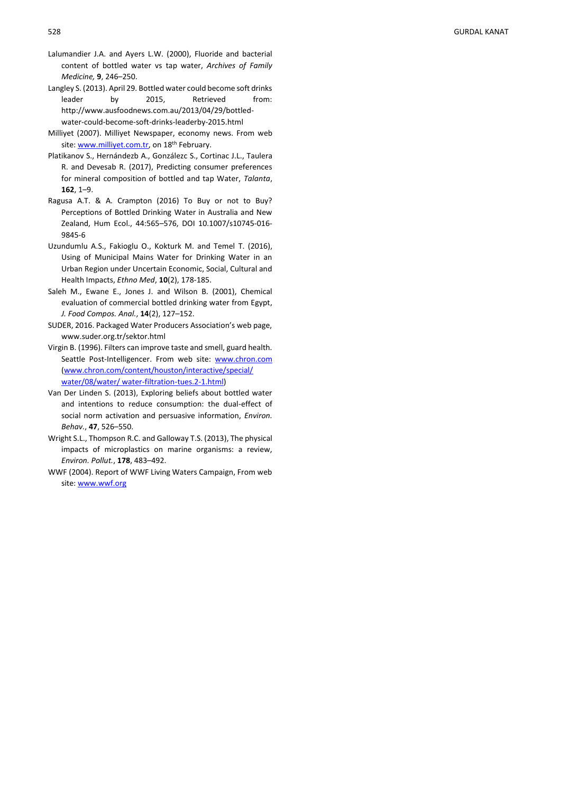- Lalumandier J.A. and Ayers L.W. (2000) , Fluoride and bacterial content of bottled water vs tap water, *Archives of Family Medicine,* **9**, 246 –250 .
- Langley S. (2013). April 29. Bottled water could become soft drinks leader by 2015, Retrieved from: http://www.ausfoodnews.com.au/2013/04/29/bottled water-could-become-soft-drinks-leaderby-2015.html
- Milliyet (2007). Milliyet Newspaper, economy news. From web site: [www.milliyet.com.tr,](http://www.milliyet.com.tr/) on 18<sup>th</sup> February.
- Platikanov S., Hernándezb A., Gonzálezc S., Cortinac J.L., Taulera R. and Devesab R. (2017) , Predicting consumer preferences for mineral composition of bottled and tap Water, *Talanta* , **162**, 1–9.
- Ragusa A.T. & A. Crampton (2016) To Buy or not to Buy? Perceptions of Bottled Drinking Water in Australia and New Zealand, Hum Ecol., 44:565 –576, DOI 10.1007/s10745 -016 - 9845 - 6
- Uzundumlu A.S., Fakioglu O., Kokturk M. and Temel T. (2016), Using of Municipal Mains Water for Drinking Water in an Urban Region under Uncertain Economic, Social, Cultural and Health Impacts, *Ethno Med*, **10**(2) , 178 -185 .
- Saleh M., Ewane E., Jones J. and Wilson B. (2001) , Chemical evaluation of commercial bottled drinking water from Egypt , *J. Food Compos. Anal.* , **14**(2), 127 –152.
- SUDER, 2016. Packaged Water Producers Association's web page, www.suder.org.tr/sektor.html
- Virgin B. (1996). Filters can improve taste and smell, guard health. Seattle Post-Intelligencer. From web site: [www.chron.com](http://www.chron.com/) [\(www.chron.com/content/houston/interactive/special/](http://www.chron.com/content/houston/interactive/special/water/08/water/%20water-filtration-tues.2-1.html)  [water/08/water/ water](http://www.chron.com/content/houston/interactive/special/water/08/water/%20water-filtration-tues.2-1.html)-filtration-tues.2-1.html)
- Van Der Linden S. (2013) , Exploring beliefs about bottled water and intentions to reduce consumption: the dual -effect of social norm activation and persuasive information, *Environ. Behav.*, **47**, 526 –550.
- Wright S.L., Thompson R.C. and Galloway T.S. (2013) , The physical impacts of microplastics on marine organisms: a review, *Environ. Pollut.*, **178**, 483 –492 .
- WWF (2004). Report of WWF Living Waters Campaign, From web site: [www.wwf.org](http://www.wwf.org/)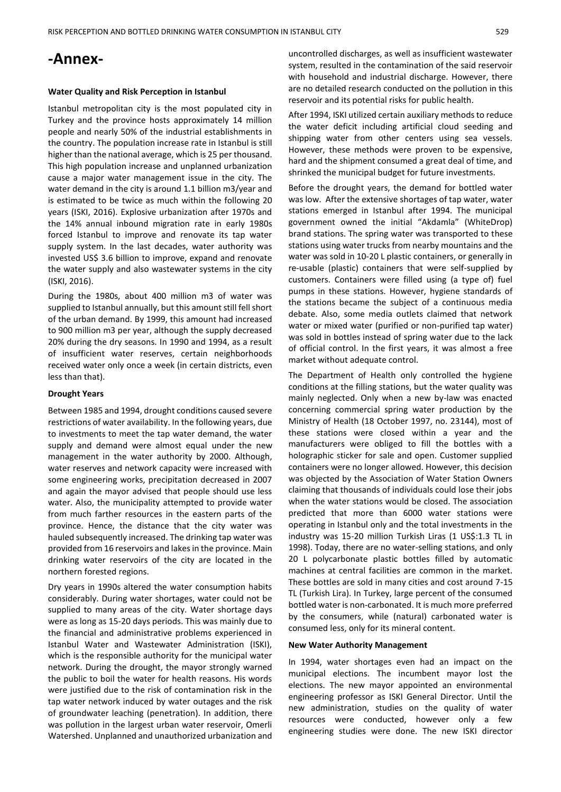# **-Annex-**

#### **Water Quality and Risk Perception in Istanbul**

Istanbul metropolitan city is the most populated city in Turkey and the province hosts approximately 14 million people and nearly 50% of the industrial establishments in the country. The population increase rate in Istanbul is still higher than the national average, which is 25 per thousand. This high population increase and unplanned urbanization cause a major water management issue in the city. The water demand in the city is around 1.1 billion m3/year and is estimated to be twice as much within the following 20 years (ISKI, 2016). Explosive urbanization after 1970s and the 14% annual inbound migration rate in early 1980s forced Istanbul to improve and renovate its tap water supply system. In the last decades, water authority was invested US\$ 3.6 billion to improve, expand and renovate the water supply and also wastewater systems in the city (ISKI, 2016).

During the 1980s, about 400 million m3 of water was supplied to Istanbul annually, but this amount still fell short of the urban demand. By 1999, this amount had increased to 900 million m3 per year, although the supply decreased 20% during the dry seasons. In 1990 and 1994, as a result of insufficient water reserves, certain neighborhoods received water only once a week (in certain districts, even less than that).

#### **Drought Years**

Between 1985 and 1994, drought conditions caused severe restrictions of water availability. In the following years, due to investments to meet the tap water demand, the water supply and demand were almost equal under the new management in the water authority by 2000. Although, water reserves and network capacity were increased with some engineering works, precipitation decreased in 2007 and again the mayor advised that people should use less water. Also, the municipality attempted to provide water from much farther resources in the eastern parts of the province. Hence, the distance that the city water was hauled subsequently increased. The drinking tap water was provided from 16 reservoirs and lakes in the province. Main drinking water reservoirs of the city are located in the northern forested regions.

Dry years in 1990s altered the water consumption habits considerably. During water shortages, water could not be supplied to many areas of the city. Water shortage days were as long as 15-20 days periods. This was mainly due to the financial and administrative problems experienced in Istanbul Water and Wastewater Administration (ISKI), which is the responsible authority for the municipal water network. During the drought, the mayor strongly warned the public to boil the water for health reasons. His words were justified due to the risk of contamination risk in the tap water network induced by water outages and the risk of groundwater leaching (penetration). In addition, there was pollution in the largest urban water reservoir, Omerli Watershed. Unplanned and unauthorized urbanization and

uncontrolled discharges, as well as insufficient wastewater system, resulted in the contamination of the said reservoir with household and industrial discharge. However, there are no detailed research conducted on the pollution in this reservoir and its potential risks for public health.

After 1994, ISKI utilized certain auxiliary methods to reduce the water deficit including artificial cloud seeding and shipping water from other centers using sea vessels. However, these methods were proven to be expensive, hard and the shipment consumed a great deal of time, and shrinked the municipal budget for future investments.

Before the drought years, the demand for bottled water was low. After the extensive shortages of tap water, water stations emerged in Istanbul after 1994. The municipal government owned the initial "Akdamla" (WhiteDrop) brand stations. The spring water was transported to these stations using water trucks from nearby mountains and the water was sold in 10-20 L plastic containers, or generally in re-usable (plastic) containers that were self-supplied by customers. Containers were filled using (a type of) fuel pumps in these stations. However, hygiene standards of the stations became the subject of a continuous media debate. Also, some media outlets claimed that network water or mixed water (purified or non-purified tap water) was sold in bottles instead of spring water due to the lack of official control. In the first years, it was almost a free market without adequate control.

The Department of Health only controlled the hygiene conditions at the filling stations, but the water quality was mainly neglected. Only when a new by-law was enacted concerning commercial spring water production by the Ministry of Health (18 October 1997, no. 23144), most of these stations were closed within a year and the manufacturers were obliged to fill the bottles with a holographic sticker for sale and open. Customer supplied containers were no longer allowed. However, this decision was objected by the Association of Water Station Owners claiming that thousands of individuals could lose their jobs when the water stations would be closed. The association predicted that more than 6000 water stations were operating in Istanbul only and the total investments in the industry was 15-20 million Turkish Liras (1 US\$:1.3 TL in 1998). Today, there are no water-selling stations, and only 20 L polycarbonate plastic bottles filled by automatic machines at central facilities are common in the market. These bottles are sold in many cities and cost around 7-15 TL (Turkish Lira). In Turkey, large percent of the consumed bottled water is non-carbonated. It is much more preferred by the consumers, while (natural) carbonated water is consumed less, only for its mineral content.

#### **New Water Authority Management**

In 1994, water shortages even had an impact on the municipal elections. The incumbent mayor lost the elections. The new mayor appointed an environmental engineering professor as ISKI General Director. Until the new administration, studies on the quality of water resources were conducted, however only a few engineering studies were done. The new ISKI director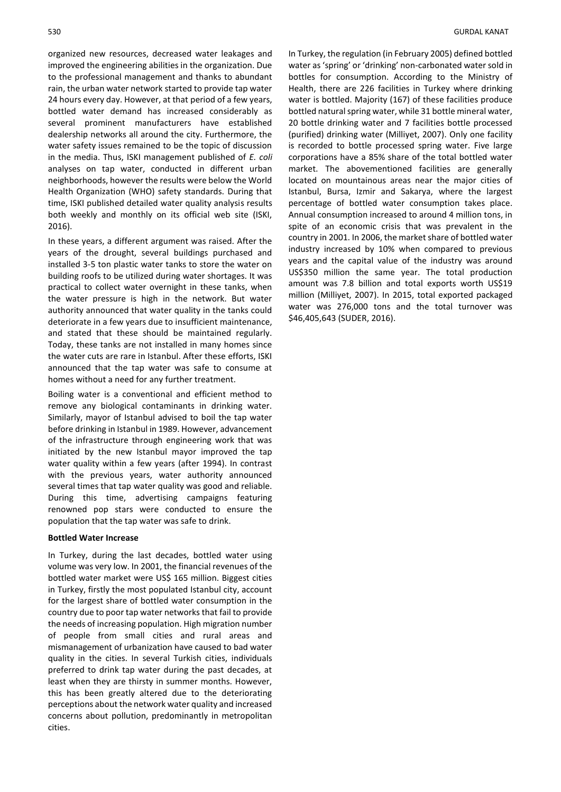organized new resources, decreased water leakages and improved the engineering abilities in the organization. Due to the professional management and thanks to abundant rain, the urban water network started to provide tap water 24 hours every day. However, at that period of a few years, bottled water demand has increased considerably as several prominent manufacturers have established dealership networks all around the city. Furthermore, the water safety issues remained to be the topic of discussion in the media. Thus, ISKI management published of *E. coli* analyses on tap water, conducted in different urban neighborhoods, however the results were below the World Health Organization (WHO) safety standards. During that time, ISKI published detailed water quality analysis results both weekly and monthly on its official web site (ISKI, 2016).

In these years, a different argument was raised. After the years of the drought, several buildings purchased and installed 3-5 ton plastic water tanks to store the water on building roofs to be utilized during water shortages. It was practical to collect water overnight in these tanks, when the water pressure is high in the network. But water authority announced that water quality in the tanks could deteriorate in a few years due to insufficient maintenance, and stated that these should be maintained regularly. Today, these tanks are not installed in many homes since the water cuts are rare in Istanbul. After these efforts, ISKI announced that the tap water was safe to consume at homes without a need for any further treatment.

Boiling water is a conventional and efficient method to remove any biological contaminants in drinking water. Similarly, mayor of Istanbul advised to boil the tap water before drinking in Istanbul in 1989. However, advancement of the infrastructure through engineering work that was initiated by the new Istanbul mayor improved the tap water quality within a few years (after 1994). In contrast with the previous years, water authority announced several times that tap water quality was good and reliable. During this time, advertising campaigns featuring renowned pop stars were conducted to ensure the population that the tap water was safe to drink.

#### **Bottled Water Increase**

In Turkey, during the last decades, bottled water using volume was very low. In 2001, the financial revenues of the bottled water market were US\$ 165 million. Biggest cities in Turkey, firstly the most populated Istanbul city, account for the largest share of bottled water consumption in the country due to poor tap water networks that fail to provide the needs of increasing population. High migration number of people from small cities and rural areas and mismanagement of urbanization have caused to bad water quality in the cities. In several Turkish cities, individuals preferred to drink tap water during the past decades, at least when they are thirsty in summer months. However, this has been greatly altered due to the deteriorating perceptions about the network water quality and increased concerns about pollution, predominantly in metropolitan cities.

In Turkey, the regulation (in February 2005) defined bottled water as 'spring' or 'drinking' non-carbonated water sold in bottles for consumption. According to the Ministry of Health, there are 226 facilities in Turkey where drinking water is bottled. Majority (167) of these facilities produce bottled natural spring water, while 31 bottle mineral water, 20 bottle drinking water and 7 facilities bottle processed (purified) drinking water (Milliyet, 2007). Only one facility is recorded to bottle processed spring water. Five large corporations have a 85% share of the total bottled water market. The abovementioned facilities are generally located on mountainous areas near the major cities of Istanbul, Bursa, Izmir and Sakarya, where the largest percentage of bottled water consumption takes place. Annual consumption increased to around 4 million tons, in spite of an economic crisis that was prevalent in the country in 2001. In 2006, the market share of bottled water industry increased by 10% when compared to previous years and the capital value of the industry was around US\$350 million the same year. The total production amount was 7.8 billion and total exports worth US\$19 million (Milliyet, 2007). In 2015, total exported packaged water was 276,000 tons and the total turnover was \$46,405,643 (SUDER, 2016).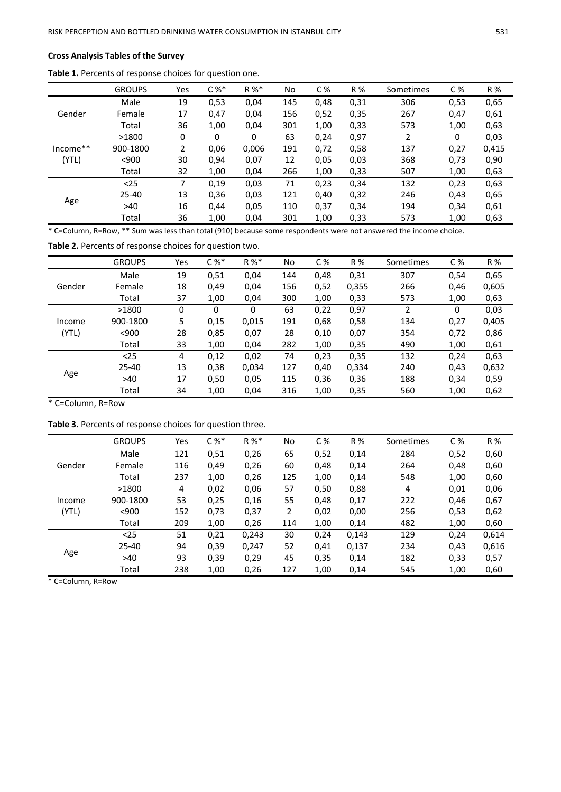# **Cross Analysis Tables of the Survey**

|          | <b>GROUPS</b> | Yes | $C\%^*$ | $R \%$ | No  | C%   | R %  | Sometimes      | C%   | R %   |
|----------|---------------|-----|---------|--------|-----|------|------|----------------|------|-------|
|          | Male          | 19  | 0,53    | 0,04   | 145 | 0,48 | 0,31 | 306            | 0,53 | 0,65  |
| Gender   | Female        | 17  | 0,47    | 0,04   | 156 | 0,52 | 0,35 | 267            | 0,47 | 0,61  |
|          | Total         | 36  | 1,00    | 0,04   | 301 | 1,00 | 0,33 | 573            | 1,00 | 0,63  |
| Income** | >1800         | 0   | 0       | 0      | 63  | 0,24 | 0,97 | $\overline{2}$ | 0    | 0,03  |
|          | 900-1800      | 2   | 0,06    | 0,006  | 191 | 0,72 | 0,58 | 137            | 0,27 | 0,415 |
| (YTL)    | $900$         | 30  | 0,94    | 0,07   | 12  | 0,05 | 0,03 | 368            | 0,73 | 0,90  |
|          | Total         | 32  | 1,00    | 0,04   | 266 | 1,00 | 0,33 | 507            | 1,00 | 0,63  |
|          | $25$          | 7   | 0,19    | 0,03   | 71  | 0,23 | 0,34 | 132            | 0,23 | 0,63  |
| Age      | 25-40         | 13  | 0,36    | 0,03   | 121 | 0,40 | 0,32 | 246            | 0,43 | 0,65  |
|          | >40           | 16  | 0,44    | 0,05   | 110 | 0,37 | 0,34 | 194            | 0,34 | 0,61  |
|          | Total         | 36  | 1,00    | 0,04   | 301 | 1,00 | 0,33 | 573            | 1,00 | 0,63  |

**Table 1.** Percents of response choices for question one.

\* C=Column, R=Row, \*\* Sum was less than total (910) because some respondents were not answered the income choice.

**Table 2.** Percents of response choices for question two.

|        | <b>GROUPS</b> | Yes | $C\%^*$ | $R \%$ | No. | C%   | R %   | Sometimes      | C%   | R %   |
|--------|---------------|-----|---------|--------|-----|------|-------|----------------|------|-------|
|        | Male          | 19  | 0,51    | 0,04   | 144 | 0,48 | 0,31  | 307            | 0,54 | 0,65  |
| Gender | Female        | 18  | 0,49    | 0,04   | 156 | 0,52 | 0,355 | 266            | 0,46 | 0,605 |
|        | Total         | 37  | 1,00    | 0,04   | 300 | 1,00 | 0,33  | 573            | 1,00 | 0,63  |
| Income | >1800         | 0   | 0       | 0      | 63  | 0,22 | 0,97  | $\overline{2}$ | 0    | 0,03  |
|        | 900-1800      | 5   | 0,15    | 0,015  | 191 | 0,68 | 0,58  | 134            | 0,27 | 0,405 |
| (YTL)  | $900$         | 28  | 0,85    | 0,07   | 28  | 0,10 | 0,07  | 354            | 0,72 | 0,86  |
|        | Total         | 33  | 1,00    | 0,04   | 282 | 1,00 | 0,35  | 490            | 1,00 | 0,61  |
|        | $25$          | 4   | 0,12    | 0,02   | 74  | 0,23 | 0,35  | 132            | 0,24 | 0,63  |
| Age    | 25-40         | 13  | 0,38    | 0,034  | 127 | 0,40 | 0,334 | 240            | 0,43 | 0,632 |
|        | >40           | 17  | 0,50    | 0,05   | 115 | 0,36 | 0,36  | 188            | 0,34 | 0,59  |
|        | Total         | 34  | 1,00    | 0,04   | 316 | 1,00 | 0,35  | 560            | 1,00 | 0,62  |

\* C=Column, R=Row

**Table 3.** Percents of response choices for question three.

|        | <b>GROUPS</b> | Yes | $C\%^*$ | $R \%$ | No  | C%   | R%    | Sometimes | C%   | R %   |
|--------|---------------|-----|---------|--------|-----|------|-------|-----------|------|-------|
|        | Male          | 121 | 0,51    | 0,26   | 65  | 0,52 | 0,14  | 284       | 0,52 | 0,60  |
| Gender | Female        | 116 | 0,49    | 0,26   | 60  | 0,48 | 0,14  | 264       | 0,48 | 0,60  |
|        | Total         | 237 | 1,00    | 0,26   | 125 | 1,00 | 0,14  | 548       | 1,00 | 0,60  |
|        | >1800         | 4   | 0,02    | 0,06   | 57  | 0,50 | 0,88  | 4         | 0,01 | 0,06  |
| Income | 900-1800      | 53  | 0,25    | 0,16   | 55  | 0,48 | 0,17  | 222       | 0,46 | 0,67  |
| (YTL)  | < 900         | 152 | 0,73    | 0,37   | 2   | 0,02 | 0,00  | 256       | 0,53 | 0,62  |
|        | Total         | 209 | 1,00    | 0,26   | 114 | 1,00 | 0,14  | 482       | 1,00 | 0,60  |
|        | $25$          | 51  | 0,21    | 0,243  | 30  | 0.24 | 0,143 | 129       | 0.24 | 0,614 |
| Age    | 25-40         | 94  | 0,39    | 0,247  | 52  | 0,41 | 0,137 | 234       | 0,43 | 0,616 |
|        | >40           | 93  | 0,39    | 0,29   | 45  | 0.35 | 0,14  | 182       | 0,33 | 0,57  |
|        | Total         | 238 | 1,00    | 0,26   | 127 | 1,00 | 0,14  | 545       | 1,00 | 0,60  |

\* C=Column, R=Row